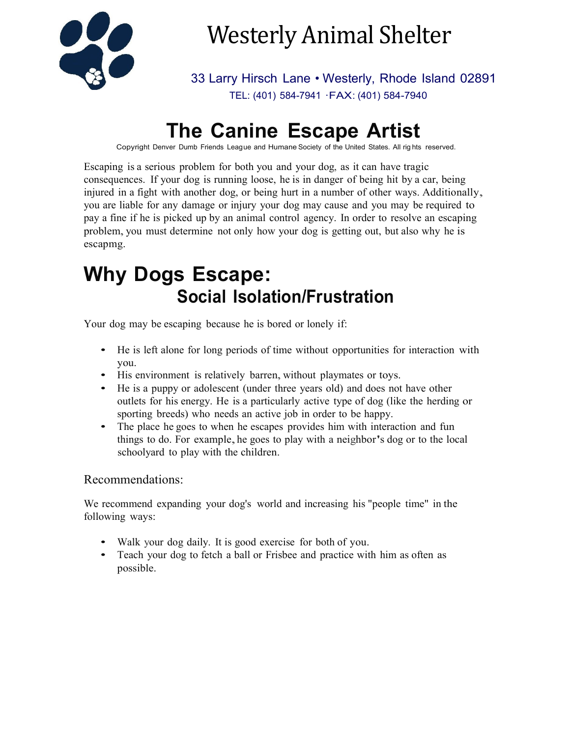

# Westerly Animal Shelter

33 Larry Hirsch Lane • Westerly, Rhode Island 02891 TEL: (401) 584-7941 ·FAX: (401) 584-7940

# **The Canine Escape Artist**

Copyright Denver Dumb Friends League and Humane Society of the United States. All rig hts reserved.

Escaping is a serious problem for both you and your dog, as it can have tragic consequences. If your dog is running loose, he is in danger of being hit by a car, being injured in <sup>a</sup> fight with another dog, or being hurt in <sup>a</sup> number of other ways. Additionally, you are liable for any damage or injury your dog may cause and you may be required to pay a fine if he is picked up by an animal control agency. In order to resolve an escaping problem, you must determine not only how your dog is getting out, but also why he is escapmg.

# **Why Dogs Escape: Social Isolation/Frustration**

Your dog may be escaping because he is bored or lonely if:

- He is left alone for long periods of time without opportunities for interaction with you.
- His environment is relatively barren, without playmates or toys.
- He is a puppy or adolescent (under three years old) and does not have other outlets for his energy. He is a particularly active type of dog (like the herding or sporting breeds) who needs an active job in order to be happy.
- The place he goes to when he escapes provides him with interaction and fun things to do. For example, he goes to play with a neighbor's dog or to the local schoolyard to play with the children.

### Recommendations:

We recommend expanding your dog's world and increasing his "people time" in the following ways:

- Walk your dog daily. It is good exercise for both of you.
- Teach your dog to fetch a ball or Frisbee and practice with him as often as possible.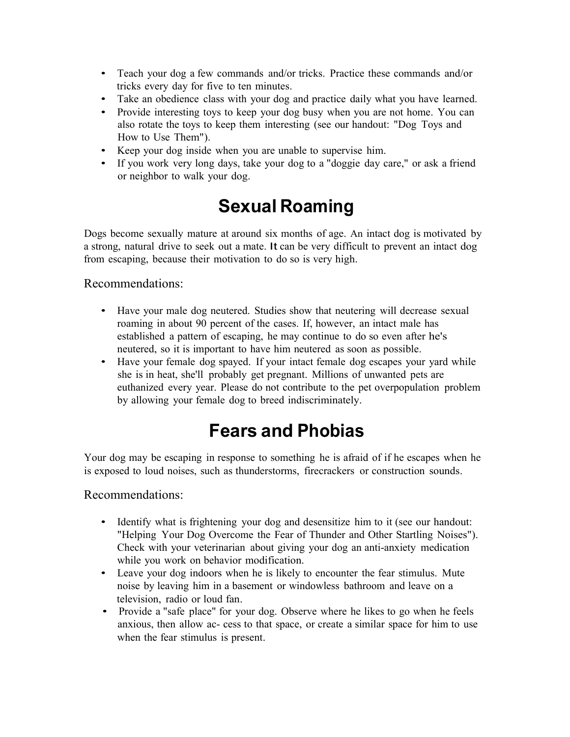- Teach your dog a few commands and/or tricks. Practice these commands and/or tricks every day for five to ten minutes.
- Take an obedience class with your dog and practice daily what you have learned.
- Provide interesting toys to keep your dog busy when you are not home. You can also rotate the toys to keep them interesting (see our handout: "Dog Toys and How to Use Them").
- Keep your dog inside when you are unable to supervise him.
- If you work very long days, take your dog to a "doggie day care," or ask a friend or neighbor to walk your dog.

## **Sexual Roaming**

Dogs become sexually mature at around six months of age. An intact dog is motivated by a strong, natural drive to seek out a mate. It can be very difficult to prevent an intact dog from escaping, because their motivation to do so is very high.

### Recommendations:

- Have your male dog neutered. Studies show that neutering will decrease sexual roaming in about 90 percent of the cases. If, however, an intact male has established a pattern of escaping, he may continue to do so even after he's neutered, so it is important to have him neutered as soon as possible.
- Have your female dog spayed. If your intact female dog escapes your yard while she is in heat, she'll probably get pregnant. Millions of unwanted pets are euthanized every year. Please do not contribute to the pet overpopulation problem by allowing your female dog to breed indiscriminately.

### **Fears and Phobias**

Your dog may be escaping in response to something he is afraid of if he escapes when he is exposed to loud noises, such as thunderstorms, firecrackers or construction sounds.

### Recommendations:

- Identify what is frightening your dog and desensitize him to it (see our handout: "Helping Your Dog Overcome the Fear of Thunder and Other Startling Noises"). Check with your veterinarian about giving your dog an anti-anxiety medication while you work on behavior modification.
- Leave your dog indoors when he is likely to encounter the fear stimulus. Mute noise by leaving him in a basement or windowless bathroom and leave on a television, radio or loud fan.
- Provide a "safe place" for your dog. Observe where he likes to go when he feels anxious, then allow ac- cess to that space, or create a similar space for him to use when the fear stimulus is present.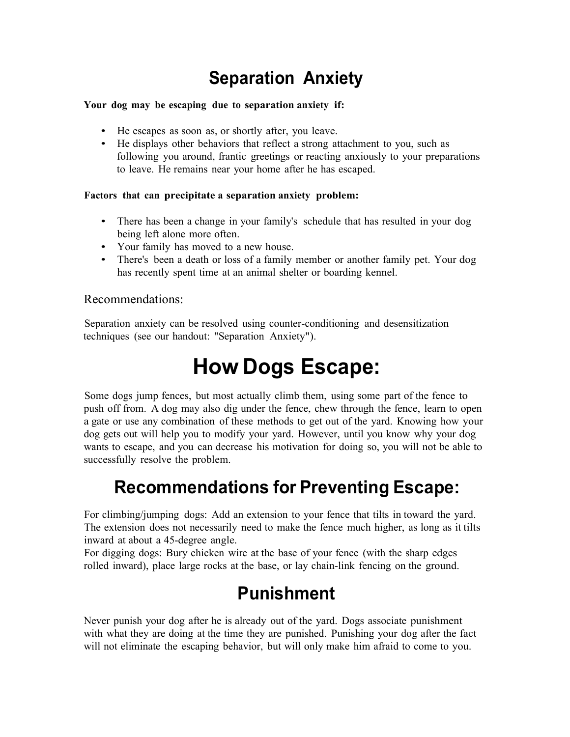## **Separation Anxiety**

#### **Your dog may be escaping due to separation anxiety if:**

- He escapes as soon as, or shortly after, you leave.
- He displays other behaviors that reflect a strong attachment to you, such as following you around, frantic greetings or reacting anxiously to your preparations to leave. He remains near your home after he has escaped.

#### **Factors that can precipitate a separation anxiety problem:**

- There has been a change in your family's schedule that has resulted in your dog being left alone more often.
- Your family has moved to a new house.
- There's been a death or loss of a family member or another family pet. Your dog has recently spent time at an animal shelter or boarding kennel.

#### Recommendations:

Separation anxiety can be resolved using counter-conditioning and desensitization techniques (see our handout: "Separation Anxiety").

# **How Dogs Escape:**

Some dogs jump fences, but most actually climb them, using some part of the fence to push off from. A dog may also dig under the fence, chew through the fence, learn to open a gate or use any combination of these methods to get out of the yard. Knowing how your dog gets out will help you to modify your yard. However, until you know why your dog wants to escape, and you can decrease his motivation for doing so, you will not be able to successfully resolve the problem.

### **Recommendations for Preventing Escape:**

For climbing/jumping dogs: Add an extension to your fence that tilts in toward the yard. The extension does not necessarily need to make the fence much higher, as long as it tilts inward at about a 45-degree angle.

For digging dogs: Bury chicken wire at the base of your fence (with the sharp edges rolled inward), place large rocks at the base, or lay chain-link fencing on the ground.

### **Punishment**

Never punish your dog after he is already out of the yard. Dogs associate punishment with what they are doing at the time they are punished. Punishing your dog after the fact will not eliminate the escaping behavior, but will only make him afraid to come to you.